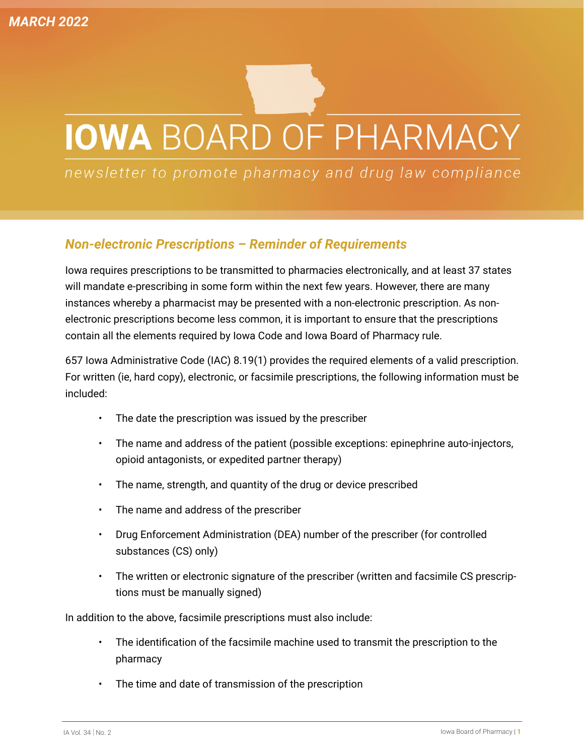# **IOWA BOARD OF PHARMACY**

newsletter to promote pharmacy and drug law compliance

#### *Non-electronic Prescriptions – Reminder of Requirements*

Iowa requires prescriptions to be transmitted to pharmacies electronically, and at least 37 states will mandate e-prescribing in some form within the next few years. However, there are many instances whereby a pharmacist may be presented with a non-electronic prescription. As nonelectronic prescriptions become less common, it is important to ensure that the prescriptions contain all the elements required by Iowa Code and Iowa Board of Pharmacy rule.

657 Iowa Administrative Code (IAC) 8.19(1) provides the required elements of a valid prescription. For written (ie, hard copy), electronic, or facsimile prescriptions, the following information must be included:

- The date the prescription was issued by the prescriber
- The name and address of the patient (possible exceptions: epinephrine auto-injectors, opioid antagonists, or expedited partner therapy)
- The name, strength, and quantity of the drug or device prescribed
- The name and address of the prescriber
- Drug Enforcement Administration (DEA) number of the prescriber (for controlled substances (CS) only)
- The written or electronic signature of the prescriber (written and facsimile CS prescriptions must be manually signed)

In addition to the above, facsimile prescriptions must also include:

- The identification of the facsimile machine used to transmit the prescription to the pharmacy
- The time and date of transmission of the prescription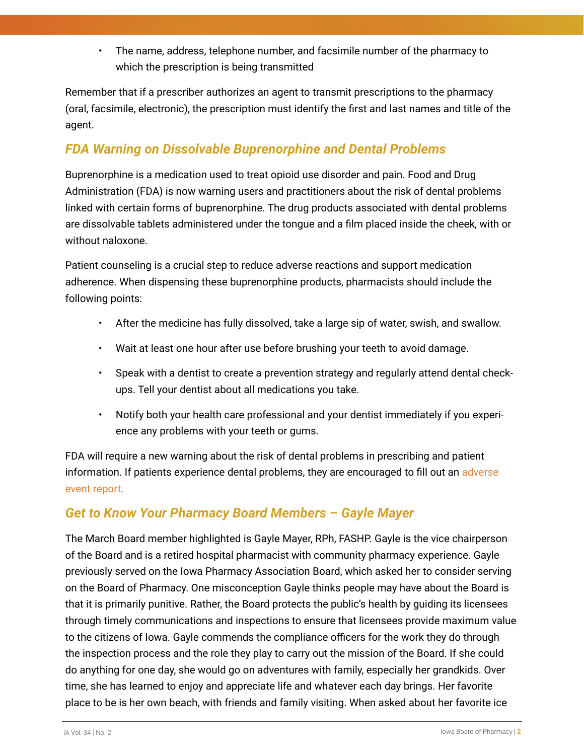• The name, address, telephone number, and facsimile number of the pharmacy to which the prescription is being transmitted

Remember that if a prescriber authorizes an agent to transmit prescriptions to the pharmacy (oral, facsimile, electronic), the prescription must identify the first and last names and title of the agent.

### *FDA Warning on Dissolvable Buprenorphine and Dental Problems*

Buprenorphine is a medication used to treat opioid use disorder and pain. Food and Drug Administration (FDA) is now warning users and practitioners about the risk of dental problems linked with certain forms of buprenorphine. The drug products associated with dental problems are dissolvable tablets administered under the tongue and a film placed inside the cheek, with or without naloxone.

Patient counseling is a crucial step to reduce adverse reactions and support medication adherence. When dispensing these buprenorphine products, pharmacists should include the following points:

- After the medicine has fully dissolved, take a large sip of water, swish, and swallow.
- Wait at least one hour after use before brushing your teeth to avoid damage.
- Speak with a dentist to create a prevention strategy and regularly attend dental checkups. Tell your dentist about all medications you take.
- Notify both your health care professional and your dentist immediately if you experience any problems with your teeth or gums.

FDA will require a new warning about the risk of dental problems in prescribing and patient information. If patients experience dental problems, they are encouraged to fill out an [adverse](https://www.fda.gov/safety/medwatch-fda-safety-information-and-adverse-event-reporting-program)  [event report.](https://www.fda.gov/safety/medwatch-fda-safety-information-and-adverse-event-reporting-program)

## *Get to Know Your Pharmacy Board Members – Gayle Mayer*

The March Board member highlighted is Gayle Mayer, RPh, FASHP. Gayle is the vice chairperson of the Board and is a retired hospital pharmacist with community pharmacy experience. Gayle previously served on the Iowa Pharmacy Association Board, which asked her to consider serving on the Board of Pharmacy. One misconception Gayle thinks people may have about the Board is that it is primarily punitive. Rather, the Board protects the public's health by guiding its licensees through timely communications and inspections to ensure that licensees provide maximum value to the citizens of Iowa. Gayle commends the compliance officers for the work they do through the inspection process and the role they play to carry out the mission of the Board. If she could do anything for one day, she would go on adventures with family, especially her grandkids. Over time, she has learned to enjoy and appreciate life and whatever each day brings. Her favorite place to be is her own beach, with friends and family visiting. When asked about her favorite ice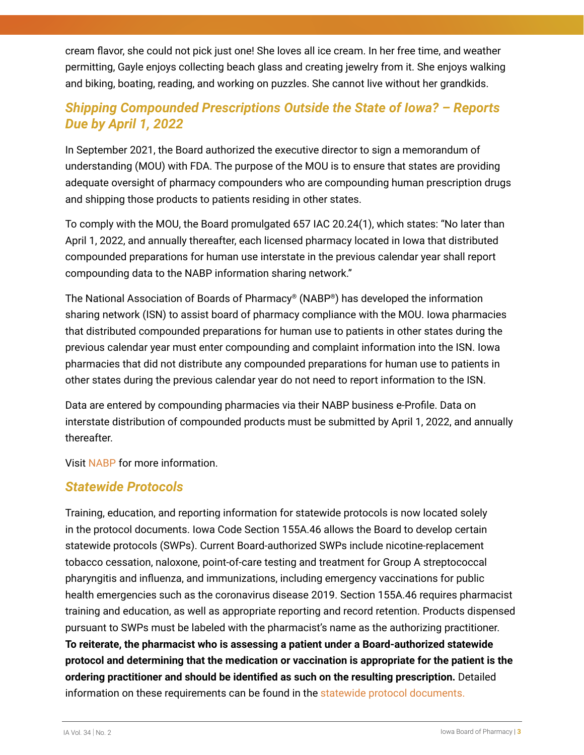cream flavor, she could not pick just one! She loves all ice cream. In her free time, and weather permitting, Gayle enjoys collecting beach glass and creating jewelry from it. She enjoys walking and biking, boating, reading, and working on puzzles. She cannot live without her grandkids.

## *Shipping Compounded Prescriptions Outside the State of Iowa? – Reports Due by April 1, 2022*

In September 2021, the Board authorized the executive director to sign a memorandum of understanding (MOU) with FDA. The purpose of the MOU is to ensure that states are providing adequate oversight of pharmacy compounders who are compounding human prescription drugs and shipping those products to patients residing in other states.

To comply with the MOU, the Board promulgated 657 IAC 20.24(1), which states: "No later than April 1, 2022, and annually thereafter, each licensed pharmacy located in Iowa that distributed compounded preparations for human use interstate in the previous calendar year shall report compounding data to the NABP information sharing network."

The National Association of Boards of Pharmacy® (NABP®) has developed the information sharing network (ISN) to assist board of pharmacy compliance with the MOU. Iowa pharmacies that distributed compounded preparations for human use to patients in other states during the previous calendar year must enter compounding and complaint information into the ISN. Iowa pharmacies that did not distribute any compounded preparations for human use to patients in other states during the previous calendar year do not need to report information to the ISN.

Data are entered by compounding pharmacies via their NABP business e-Profile. Data on interstate distribution of compounded products must be submitted by April 1, 2022, and annually thereafter.

Visi[t NABP f](https://nabp.pharmacy/members/compounding-pharmacy-information-sharing-project/faqs/)or more information.

#### *Statewide Protocols*

Training, education, and reporting information for statewide protocols is now located solely in the protocol documents. Iowa Code Section 155A.46 allows the Board to develop certain statewide protocols (SWPs). Current Board-authorized SWPs include nicotine-replacement tobacco cessation, naloxone, point-of-care testing and treatment for Group A streptococcal pharyngitis and influenza, and immunizations, including emergency vaccinations for public health emergencies such as the coronavirus disease 2019. Section 155A.46 requires pharmacist training and education, as well as appropriate reporting and record retention. Products dispensed pursuant to SWPs must be labeled with the pharmacist's name as the authorizing practitioner. **To reiterate, the pharmacist who is assessing a patient under a Board-authorized statewide protocol and determining that the medication or vaccination is appropriate for the patient is the ordering practitioner and should be identified as such on the resulting prescription.** Detailed information on these requirements can be found in the [statewide protocol documents.](https://pharmacy.iowa.gov/misc/statewide-protocols)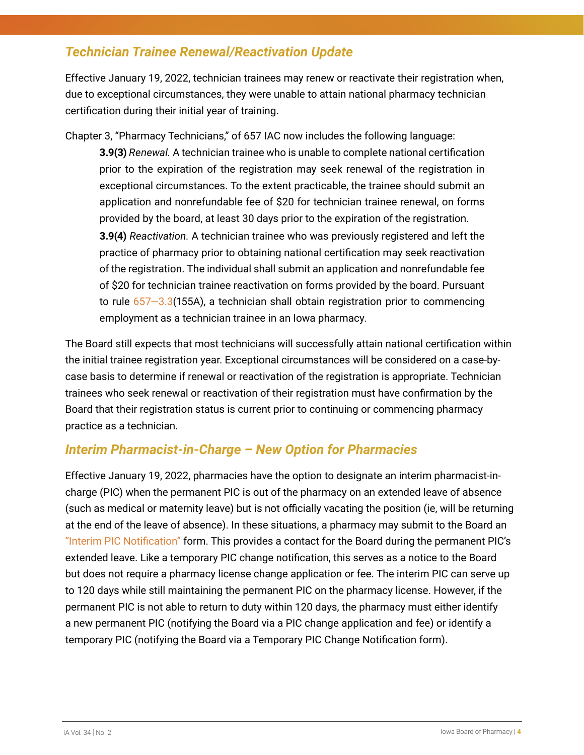#### *Technician Trainee Renewal/Reactivation Update*

Effective January 19, 2022, technician trainees may renew or reactivate their registration when, due to exceptional circumstances, they were unable to attain national pharmacy technician certification during their initial year of training.

Chapter 3, "Pharmacy Technicians," of 657 IAC now includes the following language:

**3.9(3)** *Renewal.* A technician trainee who is unable to complete national certification prior to the expiration of the registration may seek renewal of the registration in exceptional circumstances. To the extent practicable, the trainee should submit an application and nonrefundable fee of \$20 for technician trainee renewal, on forms provided by the board, at least 30 days prior to the expiration of the registration. **3.9(4)** *Reactivation.* A technician trainee who was previously registered and left the practice of pharmacy prior to obtaining national certification may seek reactivation of the registration. The individual shall submit an application and nonrefundable fee of \$20 for technician trainee reactivation on forms provided by the board. Pursuant to rule  $657-3.3(155A)$ , a technician shall obtain registration prior to commencing employment as a technician trainee in an Iowa pharmacy.

The Board still expects that most technicians will successfully attain national certification within the initial trainee registration year. Exceptional circumstances will be considered on a case-bycase basis to determine if renewal or reactivation of the registration is appropriate. Technician trainees who seek renewal or reactivation of their registration must have confirmation by the Board that their registration status is current prior to continuing or commencing pharmacy practice as a technician.

#### *Interim Pharmacist-in-Charge – New Option for Pharmacies*

Effective January 19, 2022, pharmacies have the option to designate an interim pharmacist-incharge (PIC) when the permanent PIC is out of the pharmacy on an extended leave of absence (such as medical or maternity leave) but is not officially vacating the position (ie, will be returning at the end of the leave of absence). In these situations, a pharmacy may submit to the Board an ["Interim PIC Notification"](https://pharmacy.iowa.gov/sites/default/files/documents/2022/01/resident_and_nonresident_pharmacy_interim_pic_change_notification_012722.pdf) form. This provides a contact for the Board during the permanent PIC's extended leave. Like a temporary PIC change notification, this serves as a notice to the Board but does not require a pharmacy license change application or fee. The interim PIC can serve up to 120 days while still maintaining the permanent PIC on the pharmacy license. However, if the permanent PIC is not able to return to duty within 120 days, the pharmacy must either identify a new permanent PIC (notifying the Board via a PIC change application and fee) or identify a temporary PIC (notifying the Board via a Temporary PIC Change Notification form).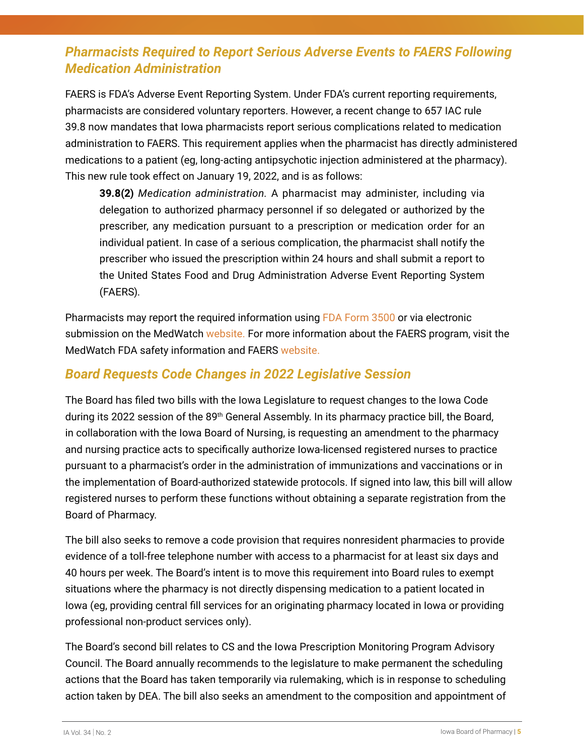## *Pharmacists Required to Report Serious Adverse Events to FAERS Following Medication Administration*

FAERS is FDA's Adverse Event Reporting System. Under FDA's current reporting requirements, pharmacists are considered voluntary reporters. However, a recent change to 657 IAC rule 39.8 now mandates that Iowa pharmacists report serious complications related to medication administration to FAERS. This requirement applies when the pharmacist has directly administered medications to a patient (eg, long-acting antipsychotic injection administered at the pharmacy). This new rule took effect on January 19, 2022, and is as follows:

**39.8(2)** *Medication administration.* A pharmacist may administer, including via delegation to authorized pharmacy personnel if so delegated or authorized by the prescriber, any medication pursuant to a prescription or medication order for an individual patient. In case of a serious complication, the pharmacist shall notify the prescriber who issued the prescription within 24 hours and shall submit a report to the United States Food and Drug Administration Adverse Event Reporting System (FAERS).

Pharmacists may report the required information using [FDA Form 3500 o](https://www.fda.gov/safety/medical-product-safety-information/medwatch-forms-fda-safety-reporting)r via electronic submission on the MedWatch [website. F](https://www.accessdata.fda.gov/scripts/medwatch/index.cfm)or more information about the FAERS program, visit the MedWatch FDA safety information and FAERS [website.](https://www.fda.gov/safety/medwatch-fda-safety-information-and-adverse-event-reporting-program)

#### *Board Requests Code Changes in 2022 Legislative Session*

The Board has filed two bills with the Iowa Legislature to request changes to the Iowa Code during its 2022 session of the 89<sup>th</sup> General Assembly. In its pharmacy practice bill, the Board, in collaboration with the Iowa Board of Nursing, is requesting an amendment to the pharmacy and nursing practice acts to specifically authorize Iowa-licensed registered nurses to practice pursuant to a pharmacist's order in the administration of immunizations and vaccinations or in the implementation of Board-authorized statewide protocols. If signed into law, this bill will allow registered nurses to perform these functions without obtaining a separate registration from the Board of Pharmacy.

The bill also seeks to remove a code provision that requires nonresident pharmacies to provide evidence of a toll-free telephone number with access to a pharmacist for at least six days and 40 hours per week. The Board's intent is to move this requirement into Board rules to exempt situations where the pharmacy is not directly dispensing medication to a patient located in Iowa (eg, providing central fill services for an originating pharmacy located in Iowa or providing professional non-product services only).

The Board's second bill relates to CS and the Iowa Prescription Monitoring Program Advisory Council. The Board annually recommends to the legislature to make permanent the scheduling actions that the Board has taken temporarily via rulemaking, which is in response to scheduling action taken by DEA. The bill also seeks an amendment to the composition and appointment of